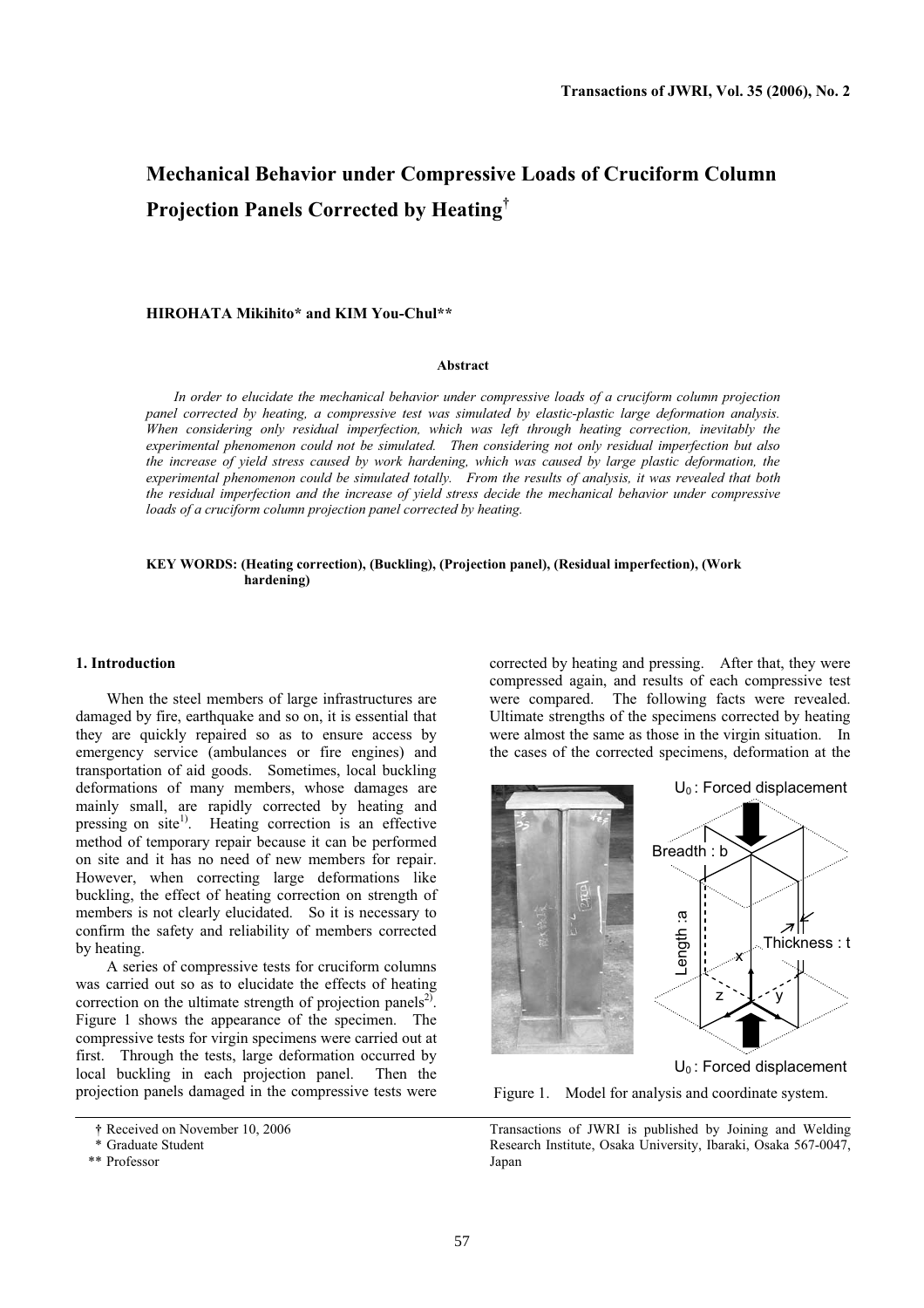# **Mechanical Behavior under Compressive Loads of Cruciform Column Projection Panels Corrected by Heating†**

# **HIROHATA Mikihito\* and KIM You-Chul\*\***

### **Abstract**

*In order to elucidate the mechanical behavior under compressive loads of a cruciform column projection panel corrected by heating, a compressive test was simulated by elastic-plastic large deformation analysis. When considering only residual imperfection, which was left through heating correction, inevitably the experimental phenomenon could not be simulated. Then considering not only residual imperfection but also the increase of yield stress caused by work hardening, which was caused by large plastic deformation, the experimental phenomenon could be simulated totally. From the results of analysis, it was revealed that both the residual imperfection and the increase of yield stress decide the mechanical behavior under compressive loads of a cruciform column projection panel corrected by heating.* 

### **KEY WORDS: (Heating correction), (Buckling), (Projection panel), (Residual imperfection), (Work hardening)**

### **1. Introduction**

When the steel members of large infrastructures are damaged by fire, earthquake and so on, it is essential that they are quickly repaired so as to ensure access by emergency service (ambulances or fire engines) and transportation of aid goods. Sometimes, local buckling deformations of many members, whose damages are mainly small, are rapidly corrected by heating and pressing on site<sup>1)</sup>. Heating correction is an effective method of temporary repair because it can be performed on site and it has no need of new members for repair. However, when correcting large deformations like buckling, the effect of heating correction on strength of members is not clearly elucidated. So it is necessary to confirm the safety and reliability of members corrected by heating.

A series of compressive tests for cruciform columns was carried out so as to elucidate the effects of heating correction on the ultimate strength of projection panels<sup>2)</sup>. Figure 1 shows the appearance of the specimen. The compressive tests for virgin specimens were carried out at first. Through the tests, large deformation occurred by local buckling in each projection panel. Then the projection panels damaged in the compressive tests were

corrected by heating and pressing. After that, they were compressed again, and results of each compressive test were compared. The following facts were revealed. Ultimate strengths of the specimens corrected by heating were almost the same as those in the virgin situation. In the cases of the corrected specimens, deformation at the



 $U_0$ : Forced displacement

Figure 1. Model for analysis and coordinate system.

**<sup>†</sup>** Received on November 10, 2006

 <sup>\*</sup> Graduate Student

 <sup>\*\*</sup> Professor

Transactions of JWRI is published by Joining and Welding Research Institute, Osaka University, Ibaraki, Osaka 567-0047, Japan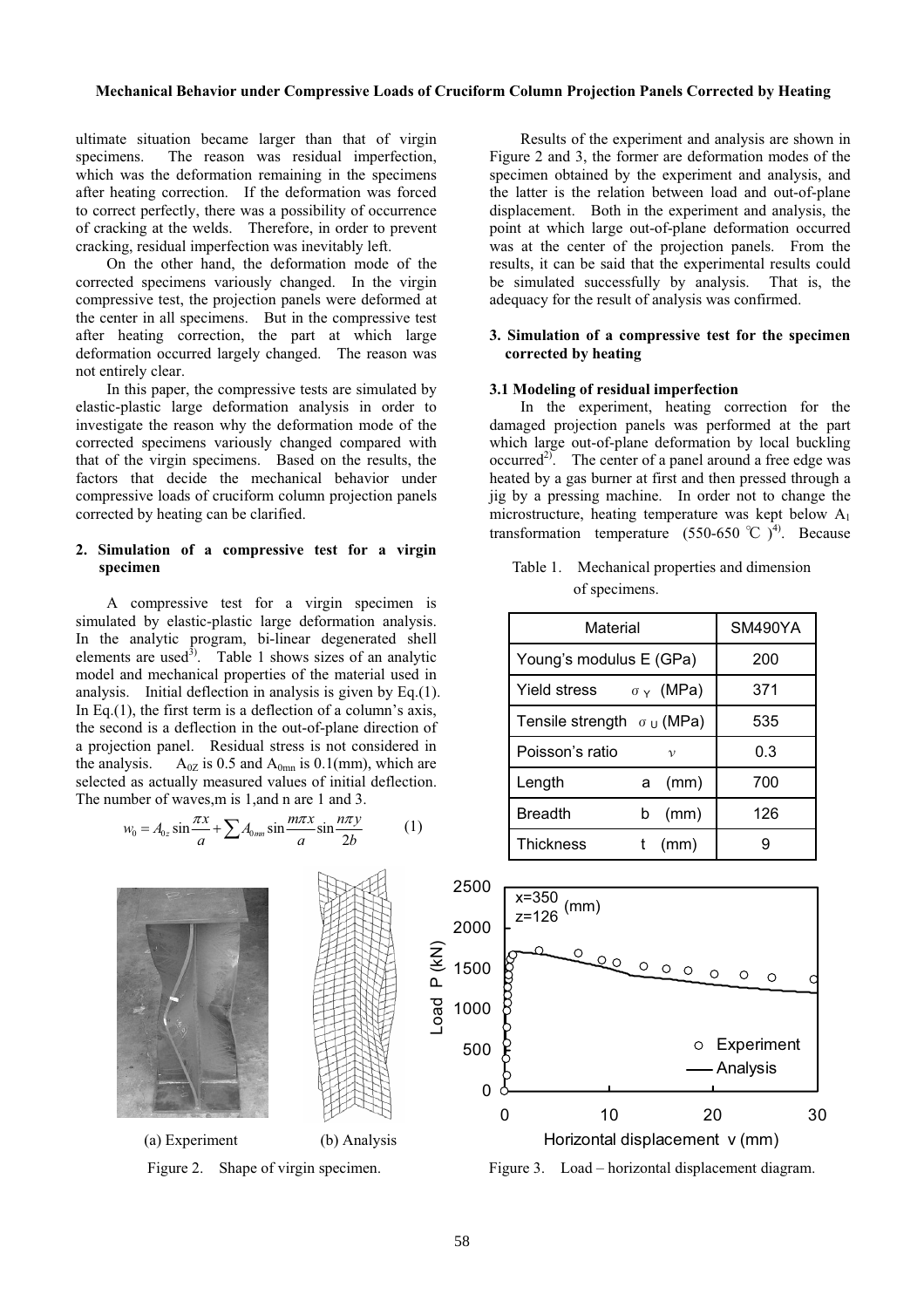# **Mechanical Behavior under Compressive Loads of Cruciform Column Projection Panels Corrected by Heating**

ultimate situation became larger than that of virgin specimens. The reason was residual imperfection, which was the deformation remaining in the specimens after heating correction. If the deformation was forced to correct perfectly, there was a possibility of occurrence of cracking at the welds. Therefore, in order to prevent cracking, residual imperfection was inevitably left.

On the other hand, the deformation mode of the corrected specimens variously changed. In the virgin compressive test, the projection panels were deformed at the center in all specimens. But in the compressive test after heating correction, the part at which large deformation occurred largely changed. The reason was not entirely clear.

In this paper, the compressive tests are simulated by elastic-plastic large deformation analysis in order to investigate the reason why the deformation mode of the corrected specimens variously changed compared with that of the virgin specimens. Based on the results, the factors that decide the mechanical behavior under compressive loads of cruciform column projection panels corrected by heating can be clarified.

# **2. Simulation of a compressive test for a virgin specimen**

A compressive test for a virgin specimen is simulated by elastic-plastic large deformation analysis. In the analytic program, bi-linear degenerated shell elements are used<sup>3</sup>. Table 1 shows sizes of an analytic model and mechanical properties of the material used in analysis. Initial deflection in analysis is given by Eq.(1). In Eq.(1), the first term is a deflection of a column's axis, the second is a deflection in the out-of-plane direction of a projection panel. Residual stress is not considered in the analysis.  $A_{0Z}$  is 0.5 and  $A_{0mn}$  is 0.1(mm), which are selected as actually measured values of initial deflection. The number of waves,m is 1,and n are 1 and 3.

$$
w_0 = A_{0z} \sin \frac{\pi x}{a} + \sum A_{0mn} \sin \frac{m\pi x}{a} \sin \frac{n\pi y}{2b}
$$
 (1)

Results of the experiment and analysis are shown in Figure 2 and 3, the former are deformation modes of the specimen obtained by the experiment and analysis, and the latter is the relation between load and out-of-plane displacement. Both in the experiment and analysis, the point at which large out-of-plane deformation occurred was at the center of the projection panels. From the results, it can be said that the experimental results could be simulated successfully by analysis. That is, the adequacy for the result of analysis was confirmed.

## **3. Simulation of a compressive test for the specimen corrected by heating**

### **3.1 Modeling of residual imperfection**

In the experiment, heating correction for the damaged projection panels was performed at the part which large out-of-plane deformation by local buckling occurred<sup>2)</sup>. The center of a panel around a free edge was heated by a gas burner at first and then pressed through a jig by a pressing machine. In order not to change the microstructure, heating temperature was kept below  $A_1$ transformation temperature  $(550-650 \degree C)^4$ . Because

Table 1. Mechanical properties and dimension of specimens.

| Material                          |                  | SM490YA |
|-----------------------------------|------------------|---------|
| Young's modulus E (GPa)           |                  | 200     |
| Yield stress                      | $\sigma_Y$ (MPa) | 371     |
| Tensile strength $\sigma_U$ (MPa) |                  | 535     |
| Poisson's ratio                   | $\mathcal{V}$    | 0.3     |
| Length                            | (mm)<br>a        | 700     |
| <b>Breadth</b>                    | (mm)<br>b        | 126     |
| <b>Thickness</b>                  | (mm)             |         |

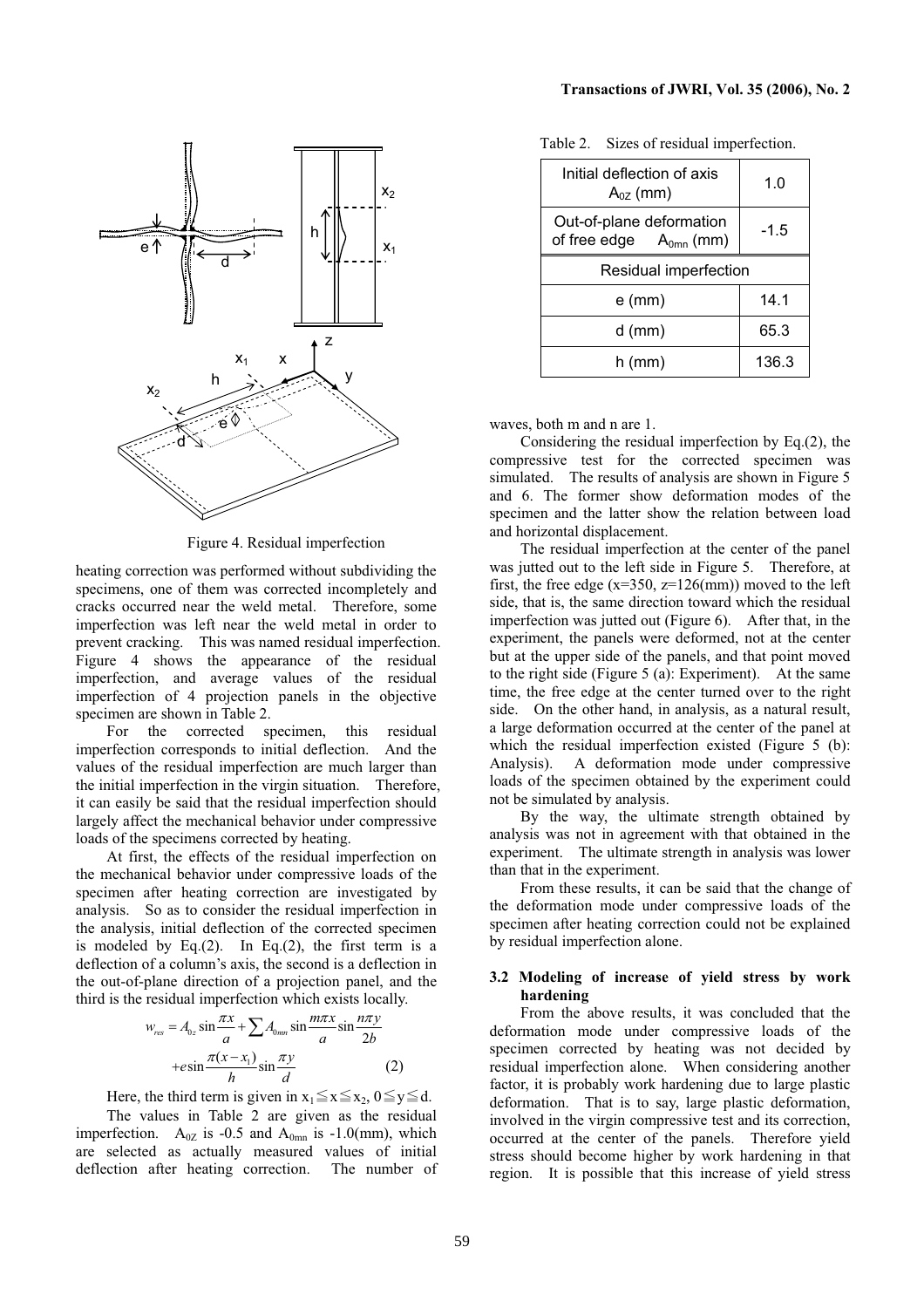

Figure 4. Residual imperfection

heating correction was performed without subdividing the specimens, one of them was corrected incompletely and cracks occurred near the weld metal. Therefore, some imperfection was left near the weld metal in order to prevent cracking. This was named residual imperfection. Figure 4 shows the appearance of the residual imperfection, and average values of the residual imperfection of 4 projection panels in the objective specimen are shown in Table 2.

For the corrected specimen, this residual imperfection corresponds to initial deflection. And the values of the residual imperfection are much larger than the initial imperfection in the virgin situation. Therefore, it can easily be said that the residual imperfection should largely affect the mechanical behavior under compressive loads of the specimens corrected by heating.

At first, the effects of the residual imperfection on the mechanical behavior under compressive loads of the specimen after heating correction are investigated by analysis. So as to consider the residual imperfection in the analysis, initial deflection of the corrected specimen is modeled by Eq. $(2)$ . In Eq. $(2)$ , the first term is a deflection of a column's axis, the second is a deflection in the out-of-plane direction of a projection panel, and the third is the residual imperfection which exists locally.

$$
w_{res} = A_{0z} \sin \frac{\pi x}{a} + \sum A_{0mn} \sin \frac{m\pi x}{a} \sin \frac{n\pi y}{2b}
$$
  
+
$$
+ e \sin \frac{\pi (x - x_1)}{h} \sin \frac{\pi y}{d}
$$
 (2)

Here, the third term is given in  $x_1 \le x \le x_2$ ,  $0 \le y \le d$ .

The values in Table 2 are given as the residual imperfection.  $A_{0Z}$  is -0.5 and  $A_{0mn}$  is -1.0(mm), which are selected as actually measured values of initial deflection after heating correction. The number of

| Initial deflection of axis<br>$A_{0Z}$ (mm)             | 1.0   |  |
|---------------------------------------------------------|-------|--|
| Out-of-plane deformation<br>of free edge $A_{0mn}$ (mm) | -1.5  |  |
| Residual imperfection                                   |       |  |
| e (mm)                                                  | 14.1  |  |
| $d$ (mm)                                                | 65.3  |  |
| h (mm)                                                  | 136.3 |  |

Table 2. Sizes of residual imperfection.

waves, both m and n are 1.

Considering the residual imperfection by Eq.(2), the compressive test for the corrected specimen was simulated. The results of analysis are shown in Figure 5 and 6. The former show deformation modes of the specimen and the latter show the relation between load and horizontal displacement.

The residual imperfection at the center of the panel was jutted out to the left side in Figure 5. Therefore, at first, the free edge ( $x=350$ ,  $z=126$ (mm)) moved to the left side, that is, the same direction toward which the residual imperfection was jutted out (Figure 6). After that, in the experiment, the panels were deformed, not at the center but at the upper side of the panels, and that point moved to the right side (Figure 5 (a): Experiment). At the same time, the free edge at the center turned over to the right side. On the other hand, in analysis, as a natural result, a large deformation occurred at the center of the panel at which the residual imperfection existed (Figure 5 (b): Analysis). A deformation mode under compressive loads of the specimen obtained by the experiment could not be simulated by analysis.

By the way, the ultimate strength obtained by analysis was not in agreement with that obtained in the experiment. The ultimate strength in analysis was lower than that in the experiment.

From these results, it can be said that the change of the deformation mode under compressive loads of the specimen after heating correction could not be explained by residual imperfection alone.

# **3.2 Modeling of increase of yield stress by work hardening**

From the above results, it was concluded that the deformation mode under compressive loads of the specimen corrected by heating was not decided by residual imperfection alone. When considering another factor, it is probably work hardening due to large plastic deformation. That is to say, large plastic deformation, involved in the virgin compressive test and its correction, occurred at the center of the panels. Therefore yield stress should become higher by work hardening in that region. It is possible that this increase of yield stress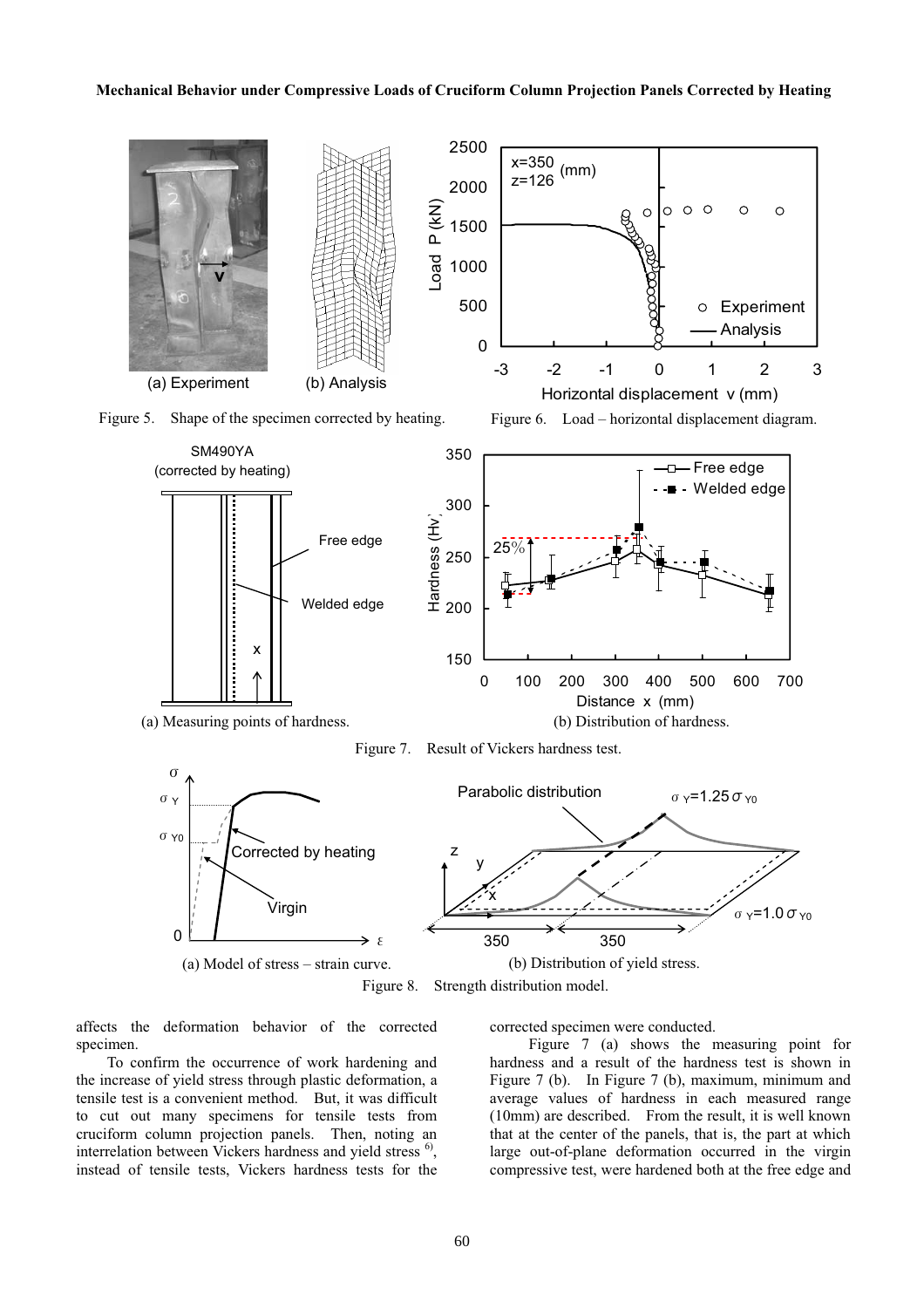#### **Mechanical Behavior under Compressive Loads of Cruciform Column Projection Panels Corrected by Heating**



affects the deformation behavior of the corrected specimen.

To confirm the occurrence of work hardening and the increase of yield stress through plastic deformation, a tensile test is a convenient method. But, it was difficult to cut out many specimens for tensile tests from cruciform column projection panels. Then, noting an interrelation between Vickers hardness and yield stress<sup>6</sup>, instead of tensile tests, Vickers hardness tests for the corrected specimen were conducted.

 Figure 7 (a) shows the measuring point for hardness and a result of the hardness test is shown in Figure 7 (b). In Figure 7 (b), maximum, minimum and average values of hardness in each measured range (10mm) are described. From the result, it is well known that at the center of the panels, that is, the part at which large out-of-plane deformation occurred in the virgin compressive test, were hardened both at the free edge and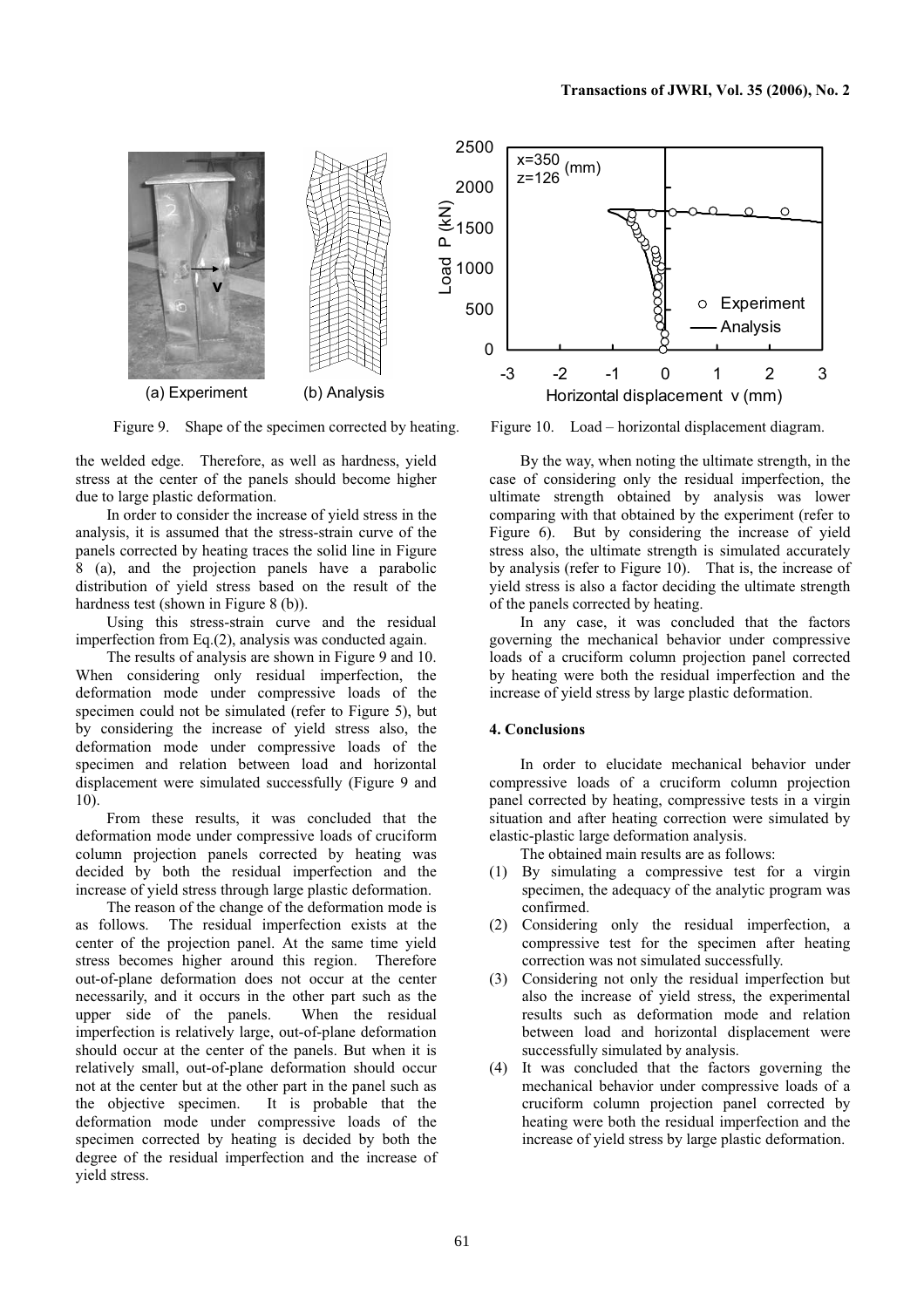

Figure 9. Shape of the specimen corrected by heating.

the welded edge. Therefore, as well as hardness, yield stress at the center of the panels should become higher due to large plastic deformation.

In order to consider the increase of yield stress in the analysis, it is assumed that the stress-strain curve of the panels corrected by heating traces the solid line in Figure 8 (a), and the projection panels have a parabolic distribution of yield stress based on the result of the hardness test (shown in Figure 8 (b)).

Using this stress-strain curve and the residual imperfection from Eq.(2), analysis was conducted again.

The results of analysis are shown in Figure 9 and 10. When considering only residual imperfection, the deformation mode under compressive loads of the specimen could not be simulated (refer to Figure 5), but by considering the increase of yield stress also, the deformation mode under compressive loads of the specimen and relation between load and horizontal displacement were simulated successfully (Figure 9 and 10).

From these results, it was concluded that the deformation mode under compressive loads of cruciform column projection panels corrected by heating was decided by both the residual imperfection and the increase of yield stress through large plastic deformation.

The reason of the change of the deformation mode is as follows. The residual imperfection exists at the center of the projection panel. At the same time yield stress becomes higher around this region. Therefore out-of-plane deformation does not occur at the center necessarily, and it occurs in the other part such as the upper side of the panels. When the residual imperfection is relatively large, out-of-plane deformation should occur at the center of the panels. But when it is relatively small, out-of-plane deformation should occur not at the center but at the other part in the panel such as the objective specimen. It is probable that the deformation mode under compressive loads of the specimen corrected by heating is decided by both the degree of the residual imperfection and the increase of yield stress.



Figure 10. Load – horizontal displacement diagram.

By the way, when noting the ultimate strength, in the case of considering only the residual imperfection, the ultimate strength obtained by analysis was lower comparing with that obtained by the experiment (refer to Figure 6). But by considering the increase of yield stress also, the ultimate strength is simulated accurately by analysis (refer to Figure 10). That is, the increase of yield stress is also a factor deciding the ultimate strength of the panels corrected by heating.

In any case, it was concluded that the factors governing the mechanical behavior under compressive loads of a cruciform column projection panel corrected by heating were both the residual imperfection and the increase of yield stress by large plastic deformation.

# **4. Conclusions**

In order to elucidate mechanical behavior under compressive loads of a cruciform column projection panel corrected by heating, compressive tests in a virgin situation and after heating correction were simulated by elastic-plastic large deformation analysis.

The obtained main results are as follows:

- (1) By simulating a compressive test for a virgin specimen, the adequacy of the analytic program was confirmed.
- (2) Considering only the residual imperfection, a compressive test for the specimen after heating correction was not simulated successfully.
- (3) Considering not only the residual imperfection but also the increase of yield stress, the experimental results such as deformation mode and relation between load and horizontal displacement were successfully simulated by analysis.
- (4) It was concluded that the factors governing the mechanical behavior under compressive loads of a cruciform column projection panel corrected by heating were both the residual imperfection and the increase of yield stress by large plastic deformation.